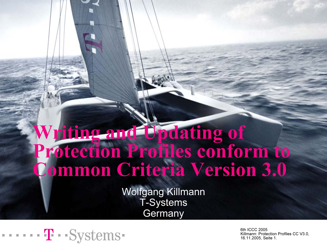### Writing and Updating of Protection Profiles conform to Common Criteria Version 3.0

Wolfgang Killmann T-Systems **Germany** 

$$
\cdots \cdots \mathbf{T} \cdot \mathbf{Systems} \cdot
$$

6th ICCC 2005 Killmann: Protection Profiles CC V3.0, 16.11.2005, Seite 1.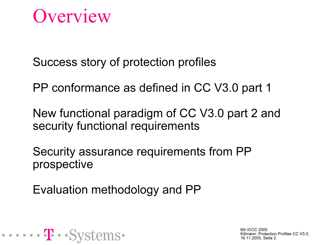### **Overview**

Success story of protection profiles

PP conformance as defined in CC V3.0 part 1

New functional paradigm of CC V3.0 part 2 and security functional requirements

Security assurance requirements from PP prospective

Evaluation methodology and PP

. . . . . . **T** . . St

6th ICCC 2005 Killmann: Protection Profiles CC V3.0, 16.11.2005, Seite 2.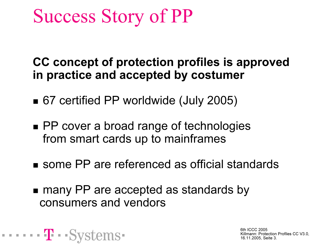# Success Story of PP

CC concept of protection profiles is approved in practice and accepted by costumer

- 67 certified PP worldwide (July 2005)
- PP cover a broad range of technologies from smart cards up to mainframes
- some PP are referenced as official standards
- many PP are accepted as standards by consumers and vendors

. . . . . . 4<mark>1</mark> . . S

6th ICCC 2005Killmann: Protection Profiles CC V3.0, 16.11.2005, Seite 3.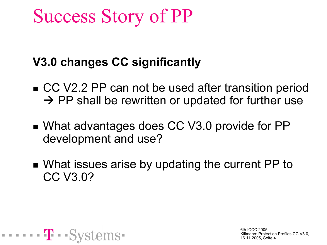# Success Story of PP

#### V3.0 changes CC significantly

- CC V2.2 PP can not be used after transition period  $\rightarrow$  PP shall be rewritten or updated for further use
- What advantages does CC V3.0 provide for PP development and use?
- What issues arise by updating the current PP to CC V3.0?

. . . . . . **. <u>.</u> . .** . . .

6th ICCC 2005Killmann: Protection Profiles CC V3.0, 16.11.2005, Seite 4.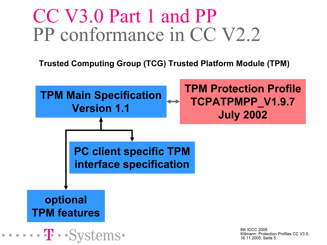# CC V3.0 Part 1 and PP PP conformance in CC V2.2

Trusted Computing Group (TCG) Trusted Platform Module (TPM)

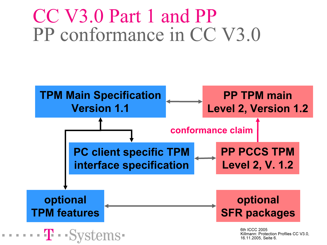## CC V3.0 Part 1 and PP PP conformance in CC V3.0

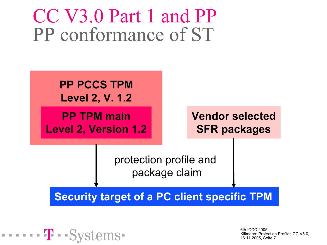### CC V3.0 Part 1 and PP PP conformance of ST

٦



$$
\cdots \cdots \mathbf{T} \cdot \mathbf{Systems}
$$

6th ICCC 2005Killmann: Protection Profiles CC V3.0, 16.11.2005, Seite 7.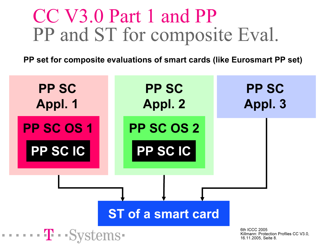# CC V3.0 Part 1 and PP PP and ST for composite Eval.

PP set for composite evaluations of smart cards (like Eurosmart PP set)

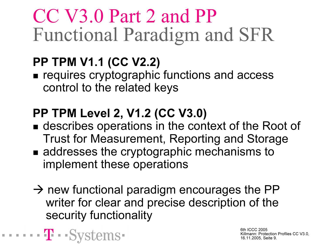# CC V3.0 Part 2 and PP Functional Paradigm and SFR

### PP TPM V1.1 (CC V2.2)

**THEFT TE - - SVS** 

**Example 2 requires cryptographic functions and access** control to the related keys

### PP TPM Level 2, V1.2 (CC V3.0)

- describes operations in the context of the Root of Trust for Measurement, Reporting and Storage
- addresses the cryptographic mechanisms to implement these operations
- $\rightarrow$  new functional paradigm encourages the PP writer for clear and precise description of the security functionality

6th ICCC 2005Killmann: Protection Profiles CC V3.0, 16.11.2005, Seite 9.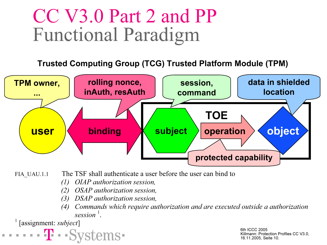# CC V3.0 Part 2 and PP Functional Paradigm

Trusted Computing Group (TCG) Trusted Platform Module (TPM)



FIA UAU.1.1 The TSF shall authenticate a user before the user can bind to

- (1) OIAP authorization session,
- OSAP authorization session,
- (3) DSAP authorization session,
- Commands which require authorization and are executed outside a authorization session $\frac{1}{1}$ .

 $[assignment: subject]$ 

6th ICCC 2005 Killmann: Protection Profiles CC V3.0, 16.11.2005, Seite 10.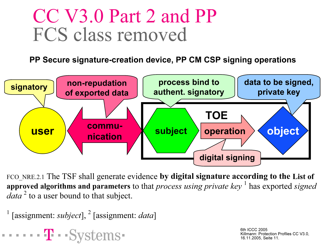## CC V3.0 Part 2 and PP FCS class removed

PP Secure signature-creation device, PP CM CSP signing operations



FCO\_NRE.2.1 The TSF shall generate evidence by digital signature according to the List of approved algorithms and parameters to that *process using private key*  $\frac{1}{1}$  has exported *signed data*  $^2$  to a user bound to that subject.

```
<sup>1</sup> [assignment: subject], <sup>2</sup> [assignment: data]
```
 $\cdots$   $\cdots$  Sv

6th ICCC 2005 Killmann: Protection Profiles CC V3.0, 16.11.2005, Seite 11.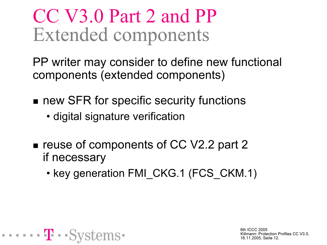# CC V3.0 Part 2 and PP Extended components

PP writer may consider to define new functional components (extended components)

 $\blacksquare$  new SFR for specific security functions

- digital signature verification
- $\blacksquare$  reuse of components of CC V2.2 part 2 if necessary
	- key generation FMI\_CKG.1 (FCS\_CKM.1)

. . . . . . **T** . .Sv

6th ICCC 2005Killmann: Protection Profiles CC V3.0, 16.11.2005, Seite 12.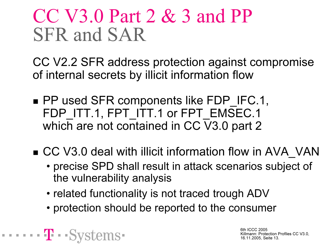# CC V3.0 Part 2 & 3 and PP SFR and SAR

CC V2.2 SFR address protection against compromise of internal secrets by illicit information flow

- PP used SFR components like FDP\_IFC.1, FDP\_ITT.1, FPT\_ITT.1 or FPT\_EMSEC.1 which are not contained in CC V3.0 part 2
- CC V3.0 deal with illicit information flow in AVA\_VAN
	- precise SPD shall result in attack scenarios subject of the vulnerability analysis
	- related functionality is not traced trough ADV

- - - 4 - - Sv

• protection should be reported to the consumer

6th ICCC 2005Killmann: Protection Profiles CC V3.0, 16.11.2005, Seite 13.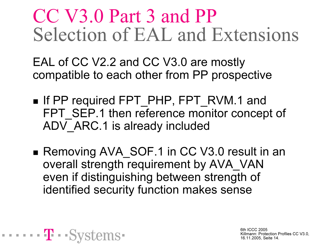# CC V3.0 Part 3 and PP Selection of EAL and Extensions

EAL of CC V2.2 and CC V3.0 are mostly compatible to each other from PP prospective

- If PP required FPT\_PHP, FPT\_RVM.1 and FPT\_SEP.1 then reference monitor concept of ADV ARC.1 is already included
- Removing AVA\_SOF.1 in CC V3.0 result in an overall strength requirement by AVA\_VAN even if distinguishing between strength of identified security function makes sense

 $\cdots$  T  $\cdots$  St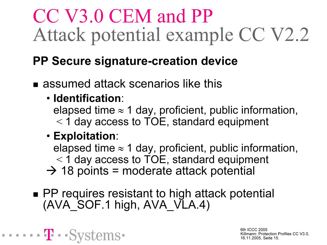# CC V3.0 CEM and PP Attack potential example CC V2.2

#### PP Secure signature-creation device

■ assumed attack scenarios like this

#### • Identification:

elapsed time  $\approx$  1 day, proficient, public information, <sup>&</sup>lt;1 day access to TOE, standard equipment

#### • Exploitation:

- - - - - - 'T' - -Svs

elapsed time  $\approx$  1 day, proficient, public information, <sup>&</sup>lt;1 day access to TOE, standard equipment  $\rightarrow$  18 points = moderate attack potential

■ PP requires resistant to high attack potential (AVA\_SOF.1 high, AVA\_VLA.4)

> 6th ICCC 2005Killmann: Protection Profiles CC V3.0, 16.11.2005, Seite 15.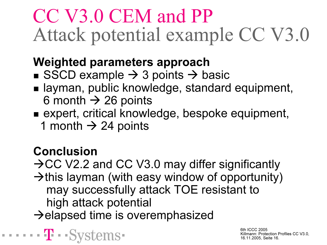# CC V3.0 CEM and PP Attack potential example CC V3.0

#### Weighted parameters approach

- SSCD example  $\rightarrow$  3 points  $\rightarrow$  basic
- $\blacksquare$  layman, public knowledge, standard equipment, 6 month  $\rightarrow$  26 points
- expert, critical knowledge, bespoke equipment, 1 month  $\rightarrow$  24 points

#### Conclusion

 $\cdots$  T  $\cdots$  Sv

 $\rightarrow$  CC V2.2 and CC V3.0 may differ significantly  $\rightarrow$ this layman (with easy window of opportunity) may successfully attack TOE resistant to high attack potential  $\rightarrow$ elapsed time is overemphasized

> 6th ICCC 2005Killmann: Protection Profiles CC V3.0, 16.11.2005, Seite 16.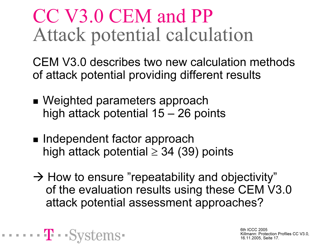# CC V3.0 CEM and PP Attack potential calculation

CEM V3.0 describes two new calculation methods of attack potential providing different results

- Weighted parameters approach high attack potential 15 – 26 points
- $\blacksquare$  Independent factor approach high attack potential  $\geq$  34 (39) points

 $\rightarrow$  How to ensure "repeatability and objectivity" of the evaluation results using these CEM V3.0 attack potential assessment approaches?